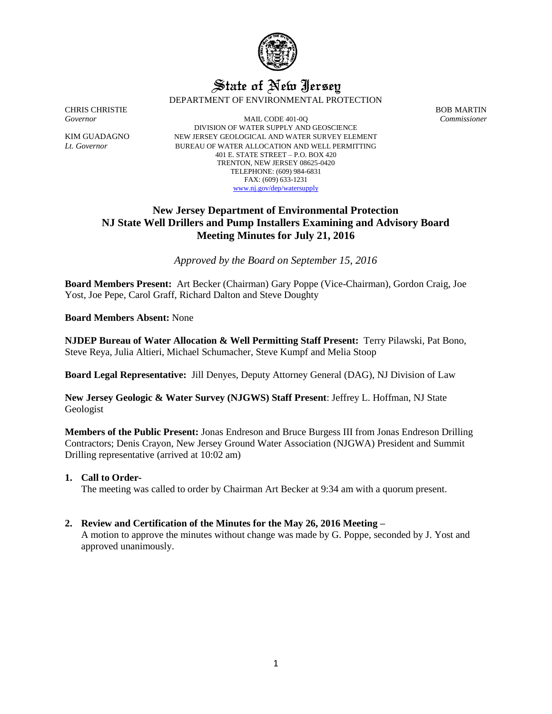

# State of New Jersey DEPARTMENT OF ENVIRONMENTAL PROTECTION

CHRIS CHRISTIE BOB MARTIN

*Governor* MAIL CODE 401-0Q *Commissioner* DIVISION OF WATER SUPPLY AND GEOSCIENCE KIM GUADAGNO NEW JERSEY GEOLOGICAL AND WATER SURVEY ELEMENT *Lt. Governor* BUREAU OF WATER ALLOCATION AND WELL PERMITTING 401 E. STATE STREET – P.O. BOX 420 TRENTON, NEW JERSEY 08625-0420 TELEPHONE: (609) 984-6831 FAX: (609) 633-1231 [www.nj.gov/dep/watersupply](http://www.nj.gov/dep/watersupply)

# **New Jersey Department of Environmental Protection NJ State Well Drillers and Pump Installers Examining and Advisory Board Meeting Minutes for July 21, 2016**

*Approved by the Board on September 15, 2016*

**Board Members Present:** Art Becker (Chairman) Gary Poppe (Vice-Chairman), Gordon Craig, Joe Yost, Joe Pepe, Carol Graff, Richard Dalton and Steve Doughty

**Board Members Absent:** None

**NJDEP Bureau of Water Allocation & Well Permitting Staff Present:** Terry Pilawski, Pat Bono, Steve Reya, Julia Altieri, Michael Schumacher, Steve Kumpf and Melia Stoop

**Board Legal Representative:** Jill Denyes, Deputy Attorney General (DAG), NJ Division of Law

**New Jersey Geologic & Water Survey (NJGWS) Staff Present**: Jeffrey L. Hoffman, NJ State Geologist

**Members of the Public Present:** Jonas Endreson and Bruce Burgess III from Jonas Endreson Drilling Contractors; Denis Crayon, New Jersey Ground Water Association (NJGWA) President and Summit Drilling representative (arrived at 10:02 am)

### **1. Call to Order-**

The meeting was called to order by Chairman Art Becker at 9:34 am with a quorum present.

### **2. Review and Certification of the Minutes for the May 26, 2016 Meeting –**

A motion to approve the minutes without change was made by G. Poppe, seconded by J. Yost and approved unanimously.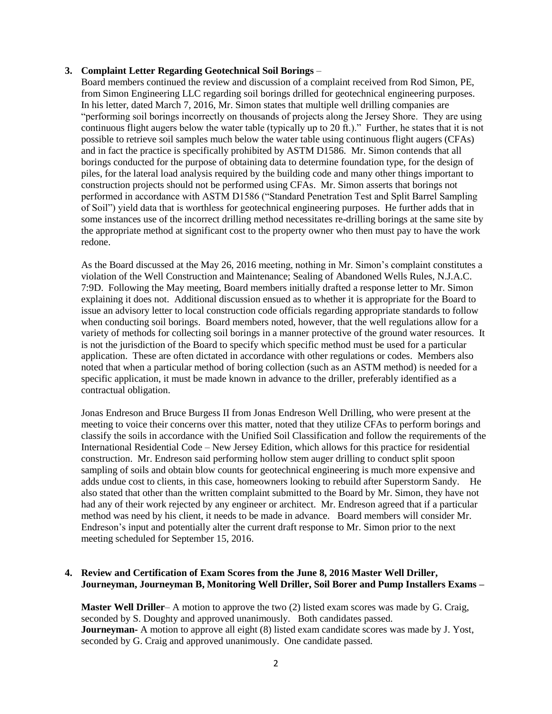#### **3. Complaint Letter Regarding Geotechnical Soil Borings** –

Board members continued the review and discussion of a complaint received from Rod Simon, PE, from Simon Engineering LLC regarding soil borings drilled for geotechnical engineering purposes. In his letter, dated March 7, 2016, Mr. Simon states that multiple well drilling companies are "performing soil borings incorrectly on thousands of projects along the Jersey Shore. They are using continuous flight augers below the water table (typically up to 20 ft.)." Further, he states that it is not possible to retrieve soil samples much below the water table using continuous flight augers (CFAs) and in fact the practice is specifically prohibited by ASTM D1586. Mr. Simon contends that all borings conducted for the purpose of obtaining data to determine foundation type, for the design of piles, for the lateral load analysis required by the building code and many other things important to construction projects should not be performed using CFAs. Mr. Simon asserts that borings not performed in accordance with ASTM D1586 ("Standard Penetration Test and Split Barrel Sampling of Soil") yield data that is worthless for geotechnical engineering purposes. He further adds that in some instances use of the incorrect drilling method necessitates re-drilling borings at the same site by the appropriate method at significant cost to the property owner who then must pay to have the work redone.

As the Board discussed at the May 26, 2016 meeting, nothing in Mr. Simon's complaint constitutes a violation of the Well Construction and Maintenance; Sealing of Abandoned Wells Rules, N.J.A.C. 7:9D. Following the May meeting, Board members initially drafted a response letter to Mr. Simon explaining it does not. Additional discussion ensued as to whether it is appropriate for the Board to issue an advisory letter to local construction code officials regarding appropriate standards to follow when conducting soil borings. Board members noted, however, that the well regulations allow for a variety of methods for collecting soil borings in a manner protective of the ground water resources. It is not the jurisdiction of the Board to specify which specific method must be used for a particular application. These are often dictated in accordance with other regulations or codes. Members also noted that when a particular method of boring collection (such as an ASTM method) is needed for a specific application, it must be made known in advance to the driller, preferably identified as a contractual obligation.

Jonas Endreson and Bruce Burgess II from Jonas Endreson Well Drilling, who were present at the meeting to voice their concerns over this matter, noted that they utilize CFAs to perform borings and classify the soils in accordance with the Unified Soil Classification and follow the requirements of the International Residential Code – New Jersey Edition, which allows for this practice for residential construction. Mr. Endreson said performing hollow stem auger drilling to conduct split spoon sampling of soils and obtain blow counts for geotechnical engineering is much more expensive and adds undue cost to clients, in this case, homeowners looking to rebuild after Superstorm Sandy. He also stated that other than the written complaint submitted to the Board by Mr. Simon, they have not had any of their work rejected by any engineer or architect. Mr. Endreson agreed that if a particular method was need by his client, it needs to be made in advance. Board members will consider Mr. Endreson's input and potentially alter the current draft response to Mr. Simon prior to the next meeting scheduled for September 15, 2016.

### **4. Review and Certification of Exam Scores from the June 8, 2016 Master Well Driller, Journeyman, Journeyman B, Monitoring Well Driller, Soil Borer and Pump Installers Exams –**

**Master Well Driller**– A motion to approve the two (2) listed exam scores was made by G. Craig, seconded by S. Doughty and approved unanimously. Both candidates passed. **Journeyman-** A motion to approve all eight (8) listed exam candidate scores was made by J. Yost, seconded by G. Craig and approved unanimously. One candidate passed.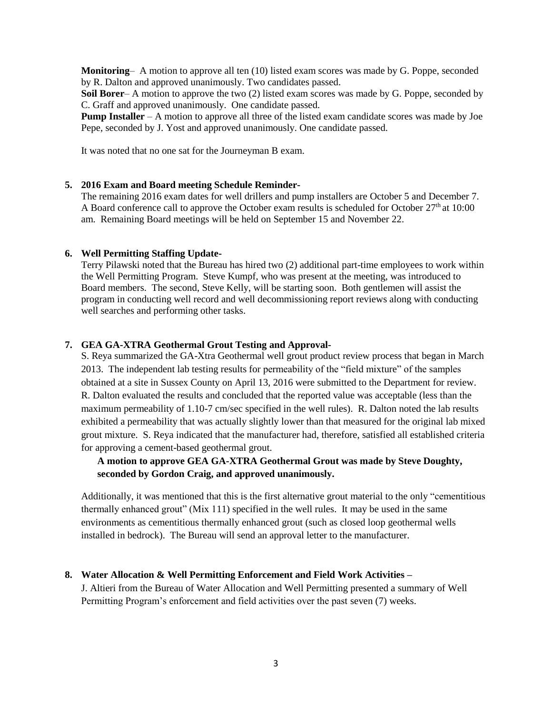**Monitoring**– A motion to approve all ten (10) listed exam scores was made by G. Poppe, seconded by R. Dalton and approved unanimously. Two candidates passed.

**Soil Borer**– A motion to approve the two (2) listed exam scores was made by G. Poppe, seconded by C. Graff and approved unanimously. One candidate passed.

**Pump Installer** – A motion to approve all three of the listed exam candidate scores was made by Joe Pepe, seconded by J. Yost and approved unanimously. One candidate passed.

It was noted that no one sat for the Journeyman B exam.

#### **5. 2016 Exam and Board meeting Schedule Reminder-**

The remaining 2016 exam dates for well drillers and pump installers are October 5 and December 7. A Board conference call to approve the October exam results is scheduled for October 27<sup>th</sup> at 10:00 am. Remaining Board meetings will be held on September 15 and November 22.

#### **6. Well Permitting Staffing Update-**

Terry Pilawski noted that the Bureau has hired two (2) additional part-time employees to work within the Well Permitting Program. Steve Kumpf, who was present at the meeting, was introduced to Board members. The second, Steve Kelly, will be starting soon. Both gentlemen will assist the program in conducting well record and well decommissioning report reviews along with conducting well searches and performing other tasks.

#### **7. GEA GA-XTRA Geothermal Grout Testing and Approval-**

S. Reya summarized the GA-Xtra Geothermal well grout product review process that began in March 2013. The independent lab testing results for permeability of the "field mixture" of the samples obtained at a site in Sussex County on April 13, 2016 were submitted to the Department for review. R. Dalton evaluated the results and concluded that the reported value was acceptable (less than the maximum permeability of 1.10-7 cm/sec specified in the well rules). R. Dalton noted the lab results exhibited a permeability that was actually slightly lower than that measured for the original lab mixed grout mixture. S. Reya indicated that the manufacturer had, therefore, satisfied all established criteria for approving a cement-based geothermal grout.

## **A motion to approve GEA GA-XTRA Geothermal Grout was made by Steve Doughty, seconded by Gordon Craig, and approved unanimously.**

Additionally, it was mentioned that this is the first alternative grout material to the only "cementitious thermally enhanced grout" (Mix 111) specified in the well rules. It may be used in the same environments as cementitious thermally enhanced grout (such as closed loop geothermal wells installed in bedrock). The Bureau will send an approval letter to the manufacturer.

### **8. Water Allocation & Well Permitting Enforcement and Field Work Activities –**

J. Altieri from the Bureau of Water Allocation and Well Permitting presented a summary of Well Permitting Program's enforcement and field activities over the past seven (7) weeks.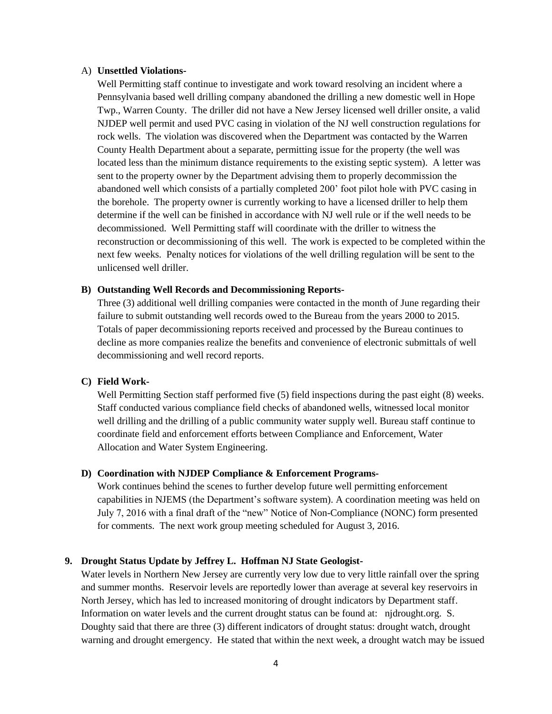#### A) **Unsettled Violations-**

Well Permitting staff continue to investigate and work toward resolving an incident where a Pennsylvania based well drilling company abandoned the drilling a new domestic well in Hope Twp., Warren County. The driller did not have a New Jersey licensed well driller onsite, a valid NJDEP well permit and used PVC casing in violation of the NJ well construction regulations for rock wells. The violation was discovered when the Department was contacted by the Warren County Health Department about a separate, permitting issue for the property (the well was located less than the minimum distance requirements to the existing septic system). A letter was sent to the property owner by the Department advising them to properly decommission the abandoned well which consists of a partially completed 200' foot pilot hole with PVC casing in the borehole. The property owner is currently working to have a licensed driller to help them determine if the well can be finished in accordance with NJ well rule or if the well needs to be decommissioned. Well Permitting staff will coordinate with the driller to witness the reconstruction or decommissioning of this well. The work is expected to be completed within the next few weeks. Penalty notices for violations of the well drilling regulation will be sent to the unlicensed well driller.

#### **B) Outstanding Well Records and Decommissioning Reports-**

Three (3) additional well drilling companies were contacted in the month of June regarding their failure to submit outstanding well records owed to the Bureau from the years 2000 to 2015. Totals of paper decommissioning reports received and processed by the Bureau continues to decline as more companies realize the benefits and convenience of electronic submittals of well decommissioning and well record reports.

### **C) Field Work-**

Well Permitting Section staff performed five (5) field inspections during the past eight (8) weeks. Staff conducted various compliance field checks of abandoned wells, witnessed local monitor well drilling and the drilling of a public community water supply well. Bureau staff continue to coordinate field and enforcement efforts between Compliance and Enforcement, Water Allocation and Water System Engineering.

#### **D) Coordination with NJDEP Compliance & Enforcement Programs-**

Work continues behind the scenes to further develop future well permitting enforcement capabilities in NJEMS (the Department's software system). A coordination meeting was held on July 7, 2016 with a final draft of the "new" Notice of Non-Compliance (NONC) form presented for comments. The next work group meeting scheduled for August 3, 2016.

### **9. Drought Status Update by Jeffrey L. Hoffman NJ State Geologist-**

Water levels in Northern New Jersey are currently very low due to very little rainfall over the spring and summer months. Reservoir levels are reportedly lower than average at several key reservoirs in North Jersey, which has led to increased monitoring of drought indicators by Department staff. Information on water levels and the current drought status can be found at: njdrought.org. S. Doughty said that there are three (3) different indicators of drought status: drought watch, drought warning and drought emergency. He stated that within the next week, a drought watch may be issued